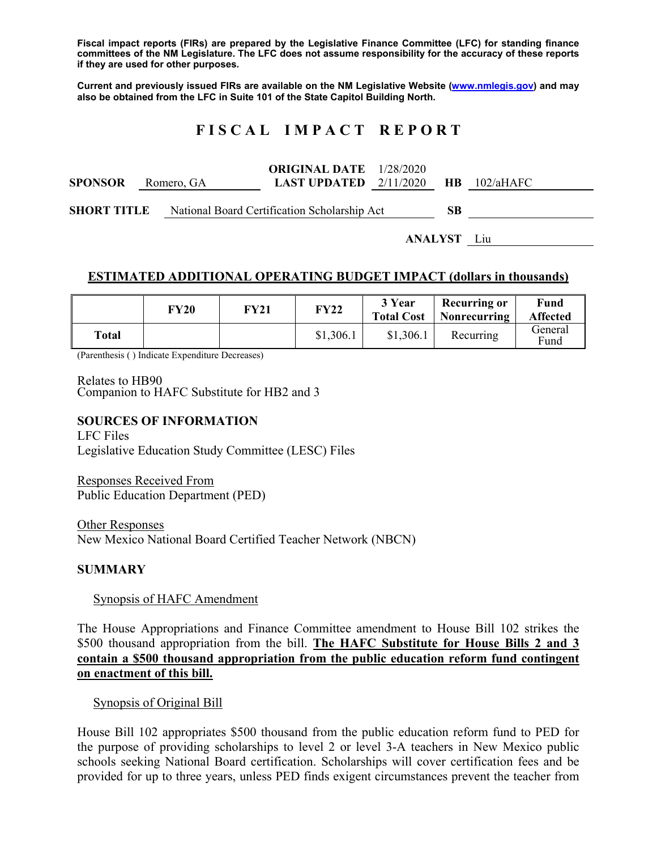**Fiscal impact reports (FIRs) are prepared by the Legislative Finance Committee (LFC) for standing finance committees of the NM Legislature. The LFC does not assume responsibility for the accuracy of these reports if they are used for other purposes.** 

**Current and previously issued FIRs are available on the NM Legislative Website (www.nmlegis.gov) and may also be obtained from the LFC in Suite 101 of the State Capitol Building North.** 

# **F I S C A L I M P A C T R E P O R T**

**SPONSOR** Romero, GA **ORIGINAL DATE**  1/28/2020 **LAST UPDATED**  2/11/2020 **HB** 102/aHAFC **SHORT TITLE** National Board Certification Scholarship Act **SB** 

**ANALYST** Liu

## **ESTIMATED ADDITIONAL OPERATING BUDGET IMPACT (dollars in thousands)**

|       | <b>FY20</b> | FY21 | <b>FY22</b> | 3 Year<br><b>Total Cost</b> | <b>Recurring or</b><br>  Nonrecurring | Fund<br><b>Affected</b> |
|-------|-------------|------|-------------|-----------------------------|---------------------------------------|-------------------------|
| Total |             |      | \$1,306.1   | \$1,306.1                   | Recurring                             | General<br>Fund         |

(Parenthesis ( ) Indicate Expenditure Decreases)

Relates to HB90 Companion to HAFC Substitute for HB2 and 3

### **SOURCES OF INFORMATION**

LFC Files Legislative Education Study Committee (LESC) Files

Responses Received From Public Education Department (PED)

Other Responses New Mexico National Board Certified Teacher Network (NBCN)

## **SUMMARY**

#### Synopsis of HAFC Amendment

The House Appropriations and Finance Committee amendment to House Bill 102 strikes the \$500 thousand appropriation from the bill. **The HAFC Substitute for House Bills 2 and 3 contain a \$500 thousand appropriation from the public education reform fund contingent on enactment of this bill.** 

Synopsis of Original Bill

House Bill 102 appropriates \$500 thousand from the public education reform fund to PED for the purpose of providing scholarships to level 2 or level 3-A teachers in New Mexico public schools seeking National Board certification. Scholarships will cover certification fees and be provided for up to three years, unless PED finds exigent circumstances prevent the teacher from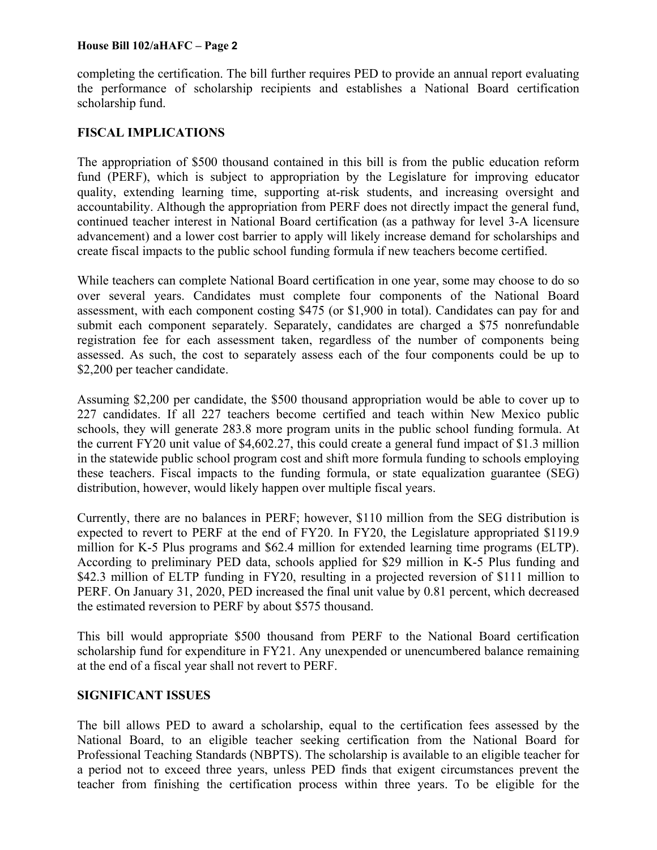#### **House Bill 102/aHAFC – Page 2**

completing the certification. The bill further requires PED to provide an annual report evaluating the performance of scholarship recipients and establishes a National Board certification scholarship fund.

# **FISCAL IMPLICATIONS**

The appropriation of \$500 thousand contained in this bill is from the public education reform fund (PERF), which is subject to appropriation by the Legislature for improving educator quality, extending learning time, supporting at-risk students, and increasing oversight and accountability. Although the appropriation from PERF does not directly impact the general fund, continued teacher interest in National Board certification (as a pathway for level 3-A licensure advancement) and a lower cost barrier to apply will likely increase demand for scholarships and create fiscal impacts to the public school funding formula if new teachers become certified.

While teachers can complete National Board certification in one year, some may choose to do so over several years. Candidates must complete four components of the National Board assessment, with each component costing \$475 (or \$1,900 in total). Candidates can pay for and submit each component separately. Separately, candidates are charged a \$75 nonrefundable registration fee for each assessment taken, regardless of the number of components being assessed. As such, the cost to separately assess each of the four components could be up to \$2,200 per teacher candidate.

Assuming \$2,200 per candidate, the \$500 thousand appropriation would be able to cover up to 227 candidates. If all 227 teachers become certified and teach within New Mexico public schools, they will generate 283.8 more program units in the public school funding formula. At the current FY20 unit value of \$4,602.27, this could create a general fund impact of \$1.3 million in the statewide public school program cost and shift more formula funding to schools employing these teachers. Fiscal impacts to the funding formula, or state equalization guarantee (SEG) distribution, however, would likely happen over multiple fiscal years.

Currently, there are no balances in PERF; however, \$110 million from the SEG distribution is expected to revert to PERF at the end of FY20. In FY20, the Legislature appropriated \$119.9 million for K-5 Plus programs and \$62.4 million for extended learning time programs (ELTP). According to preliminary PED data, schools applied for \$29 million in K-5 Plus funding and \$42.3 million of ELTP funding in FY20, resulting in a projected reversion of \$111 million to PERF. On January 31, 2020, PED increased the final unit value by 0.81 percent, which decreased the estimated reversion to PERF by about \$575 thousand.

This bill would appropriate \$500 thousand from PERF to the National Board certification scholarship fund for expenditure in FY21. Any unexpended or unencumbered balance remaining at the end of a fiscal year shall not revert to PERF.

# **SIGNIFICANT ISSUES**

The bill allows PED to award a scholarship, equal to the certification fees assessed by the National Board, to an eligible teacher seeking certification from the National Board for Professional Teaching Standards (NBPTS). The scholarship is available to an eligible teacher for a period not to exceed three years, unless PED finds that exigent circumstances prevent the teacher from finishing the certification process within three years. To be eligible for the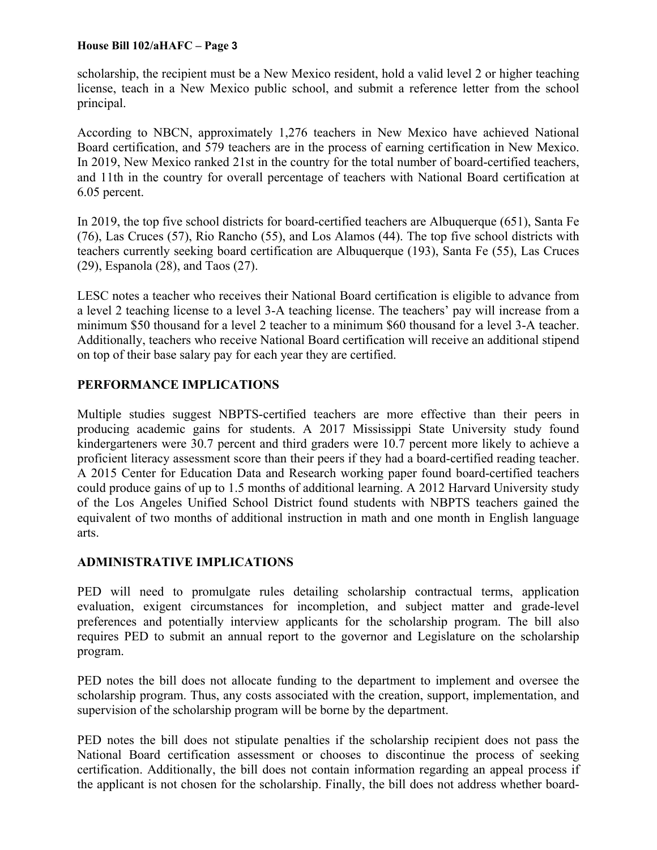### **House Bill 102/aHAFC – Page 3**

scholarship, the recipient must be a New Mexico resident, hold a valid level 2 or higher teaching license, teach in a New Mexico public school, and submit a reference letter from the school principal.

According to NBCN, approximately 1,276 teachers in New Mexico have achieved National Board certification, and 579 teachers are in the process of earning certification in New Mexico. In 2019, New Mexico ranked 21st in the country for the total number of board-certified teachers, and 11th in the country for overall percentage of teachers with National Board certification at 6.05 percent.

In 2019, the top five school districts for board-certified teachers are Albuquerque (651), Santa Fe (76), Las Cruces (57), Rio Rancho (55), and Los Alamos (44). The top five school districts with teachers currently seeking board certification are Albuquerque (193), Santa Fe (55), Las Cruces (29), Espanola (28), and Taos (27).

LESC notes a teacher who receives their National Board certification is eligible to advance from a level 2 teaching license to a level 3-A teaching license. The teachers' pay will increase from a minimum \$50 thousand for a level 2 teacher to a minimum \$60 thousand for a level 3-A teacher. Additionally, teachers who receive National Board certification will receive an additional stipend on top of their base salary pay for each year they are certified.

# **PERFORMANCE IMPLICATIONS**

Multiple studies suggest NBPTS-certified teachers are more effective than their peers in producing academic gains for students. A 2017 Mississippi State University study found kindergarteners were 30.7 percent and third graders were 10.7 percent more likely to achieve a proficient literacy assessment score than their peers if they had a board-certified reading teacher. A 2015 Center for Education Data and Research working paper found board-certified teachers could produce gains of up to 1.5 months of additional learning. A 2012 Harvard University study of the Los Angeles Unified School District found students with NBPTS teachers gained the equivalent of two months of additional instruction in math and one month in English language arts.

# **ADMINISTRATIVE IMPLICATIONS**

PED will need to promulgate rules detailing scholarship contractual terms, application evaluation, exigent circumstances for incompletion, and subject matter and grade-level preferences and potentially interview applicants for the scholarship program. The bill also requires PED to submit an annual report to the governor and Legislature on the scholarship program.

PED notes the bill does not allocate funding to the department to implement and oversee the scholarship program. Thus, any costs associated with the creation, support, implementation, and supervision of the scholarship program will be borne by the department.

PED notes the bill does not stipulate penalties if the scholarship recipient does not pass the National Board certification assessment or chooses to discontinue the process of seeking certification. Additionally, the bill does not contain information regarding an appeal process if the applicant is not chosen for the scholarship. Finally, the bill does not address whether board-